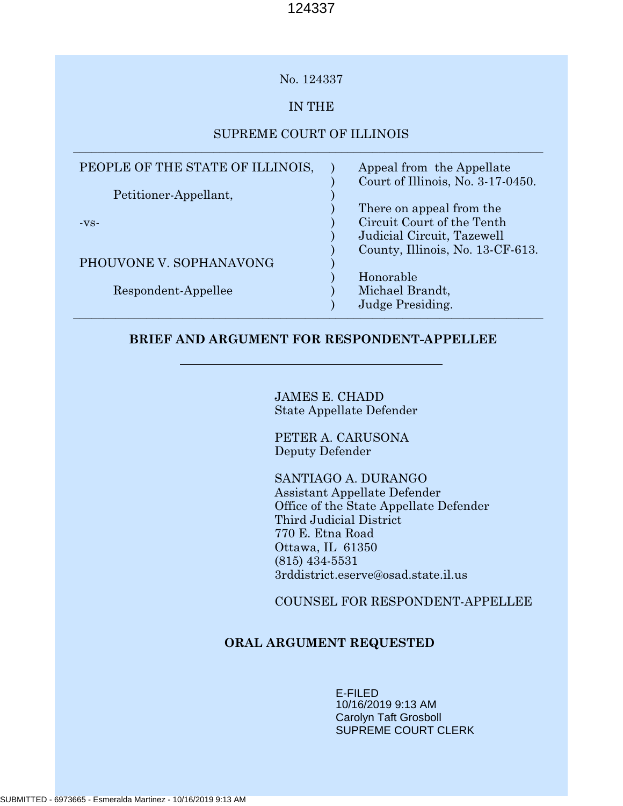## No. 124337

# IN THE

## SUPREME COURT OF ILLINOIS \_\_\_\_\_\_\_\_\_\_\_\_\_\_\_\_\_\_\_\_\_\_\_\_\_\_\_\_\_\_\_\_\_\_\_\_\_\_\_\_\_\_\_\_\_\_\_\_\_\_\_\_\_\_\_\_\_\_\_\_\_\_\_\_\_\_\_\_\_\_\_\_\_\_\_\_\_

| PEOPLE OF THE STATE OF ILLINOIS, | Appeal from the Appellate<br>Court of Illinois, No. 3-17-0450. |
|----------------------------------|----------------------------------------------------------------|
| Petitioner-Appellant,            |                                                                |
|                                  | There on appeal from the                                       |
| $-VS-$                           | Circuit Court of the Tenth                                     |
|                                  | Judicial Circuit, Tazewell                                     |
|                                  | County, Illinois, No. 13-CF-613.                               |
| PHOUVONE V. SOPHANAVONG          |                                                                |
|                                  | Honorable                                                      |
| Respondent-Appellee              | Michael Brandt,                                                |
|                                  | Judge Presiding.                                               |

## **BRIEF AND ARGUMENT FOR RESPONDENT-APPELLEE**

JAMES E. CHADD State Appellate Defender

PETER A. CARUSONA Deputy Defender

SANTIAGO A. DURANGO Assistant Appellate Defender Office of the State Appellate Defender Third Judicial District 770 E. Etna Road Ottawa, IL 61350 (815) 434-5531 3rddistrict.eserve@osad.state.il.us

COUNSEL FOR RESPONDENT-APPELLEE

# **ORAL ARGUMENT REQUESTED**

E-FILED 10/16/2019 9:13 AM Carolyn Taft Grosboll SUPREME COURT CLERK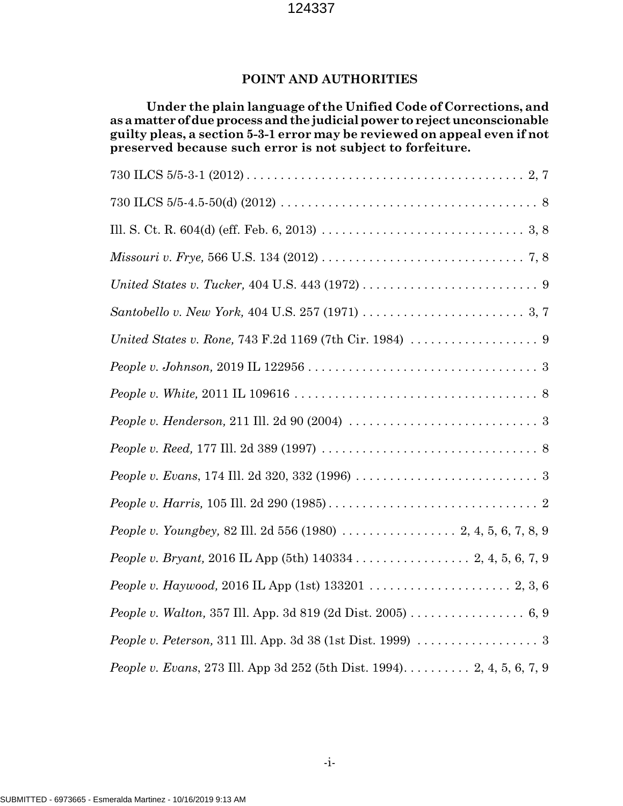# **POINT AND AUTHORITIES**

**Under the plain language of the Unified Code of Corrections, and as a matter of due process and the judicial power to reject unconscionable guilty pleas, a section 5-3-1 error may be reviewed on appeal even if not preserved because such error is not subject to forfeiture.**

| People v. Henderson, 211 Ill. 2d 90 (2004) $\ldots \ldots \ldots \ldots \ldots \ldots \ldots \ldots \ldots$          |
|----------------------------------------------------------------------------------------------------------------------|
|                                                                                                                      |
| <i>People v. Evans,</i> 174 Ill. 2d 320, 332 (1996) $\ldots \ldots \ldots \ldots \ldots \ldots \ldots \ldots \ldots$ |
|                                                                                                                      |
|                                                                                                                      |
|                                                                                                                      |
|                                                                                                                      |
| People v. Walton, 357 Ill. App. 3d 819 (2d Dist. 2005) 6, 9                                                          |
|                                                                                                                      |
| <i>People v. Evans, 273 Ill. App 3d 252 (5th Dist. 1994).</i> 2, 4, 5, 6, 7, 9                                       |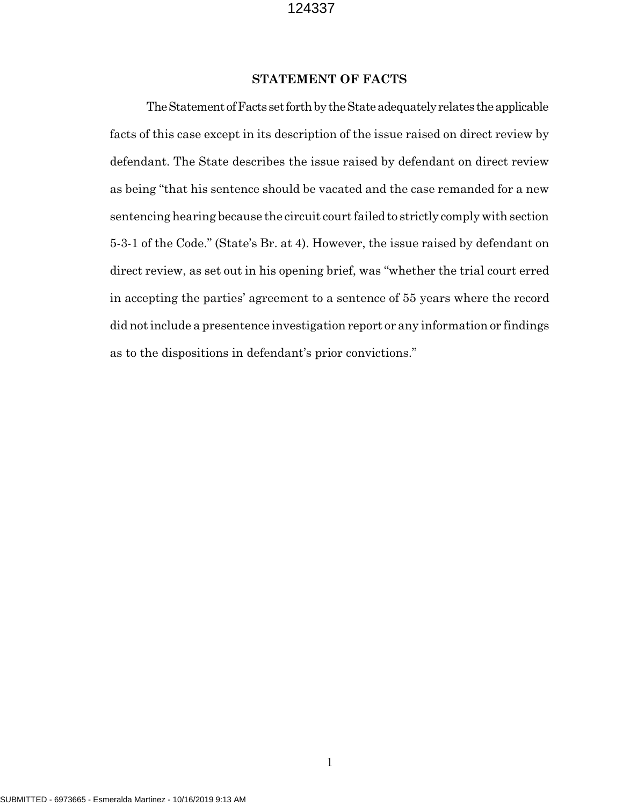#### **STATEMENT OF FACTS**

The Statement of Facts set forth by the State adequately relates the applicable facts of this case except in its description of the issue raised on direct review by defendant. The State describes the issue raised by defendant on direct review as being "that his sentence should be vacated and the case remanded for a new sentencing hearing because the circuit court failed to strictly comply with section 5-3-1 of the Code." (State's Br. at 4). However, the issue raised by defendant on direct review, as set out in his opening brief, was "whether the trial court erred in accepting the parties' agreement to a sentence of 55 years where the record did not include a presentence investigation report or any information or findings as to the dispositions in defendant's prior convictions."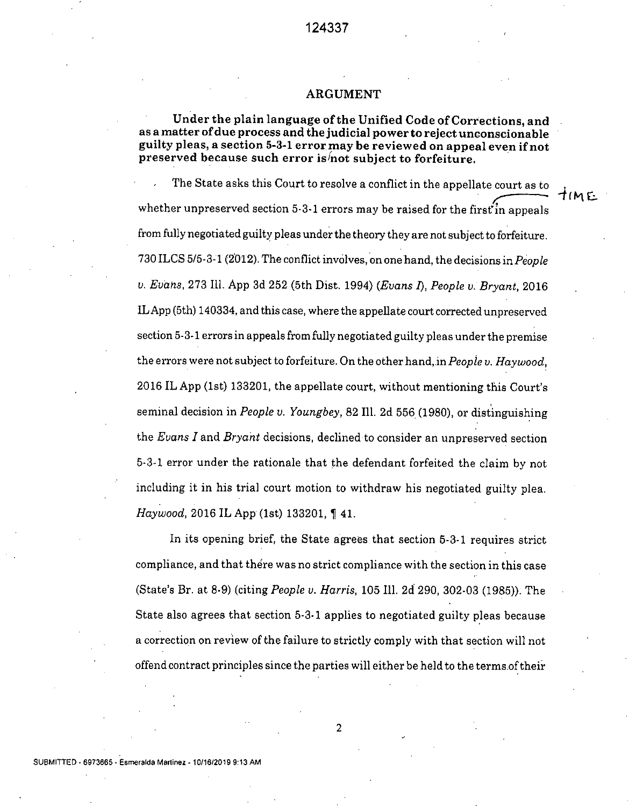#### **ARGUMENT**

#### **Under the** plain language of the Unified Code of Corrections, and as a matter of due process and the judicial power to reject unconscionable guilty pleas, a section 5-3-1 **error may be reviewed on appeal even if not**  preserved because such error is not subject to forfeiture.

The State asks this Court to resolve a conflict in the appellate court as to  $\frac{\text{count as to}}{\text{time}}$   $\frac{1}{4}$ whether unpreserved section 5-3-1 errors may be raised for the first in appeals from fully negotiated guilty pleas under the theory they are not subject to forfeiture. 730 ILCS 5/5-3-1 (2012). The conflict involves, on onehand, the decisions in *People*  v. *Eudhs,* 273 111. App 3d 252 (5th Dist. 1994) *(Evans 1), People v* . *Bryant,* 2016 ILApp (5th) 140334, and this case, where the appeilate court corrected unpreserved section 5-3-1 errors in appeals from fully negotiated guilty pleas under the premise the errors were not subject to forfeiture. On the other hand,in *People V. Haywood,*  2016 IL App (1st) 133201, the appellate court, without mentioning this Court's seminal decision in *People v. Youngbey,* 82 Ill. 2d 556 (1980), or distinguishing the *Evans I* and *Bryant* decisions, declined to consider an unpreserved section 5-3-1 error under the rationale that the defendant forfeited the claim by not including it in his trial court motion to withdraw his negotiated guilty plea. *Haywood,* 2016 IL App (1st) 133201, 141.

*In* its opening brief, the State agrees that section 5-3-1 requires strict compliance, and that there was no strict compliance with the section in this case (State's Br. at 8-9) (citing *People v. Harris,* 105 Ill. 2c1 290, 302-03 (1985)). The State also agrees that section 5-3-1 applies to negotiated guilty pleas because a correction on review of the failure to strictly comply with that section will not offend contract principles since the parties will either be held to the termsofthefr

SUBMITTED - 6973865- **Esrneralda Martinez** - **10/1812019 9:13 AM**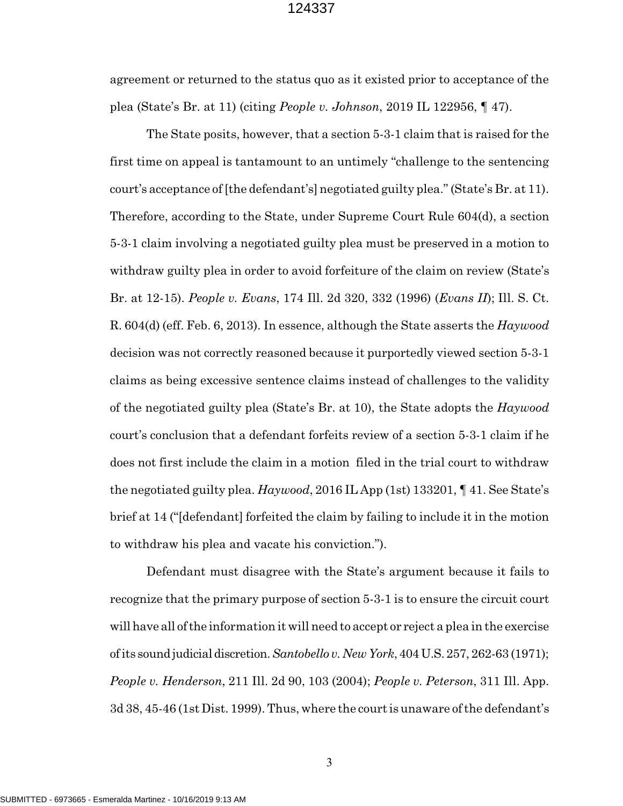agreement or returned to the status quo as it existed prior to acceptance of the plea (State's Br. at 11) (citing *People v. Johnson*, 2019 IL 122956, ¶ 47).

The State posits, however, that a section 5-3-1 claim that is raised for the first time on appeal is tantamount to an untimely "challenge to the sentencing court's acceptance of [the defendant's] negotiated guilty plea." (State's Br. at 11). Therefore, according to the State, under Supreme Court Rule 604(d), a section 5-3-1 claim involving a negotiated guilty plea must be preserved in a motion to withdraw guilty plea in order to avoid forfeiture of the claim on review (State's Br. at 12-15). *People v. Evans*, 174 Ill. 2d 320, 332 (1996) (*Evans II*); Ill. S. Ct. R. 604(d) (eff. Feb. 6, 2013). In essence, although the State asserts the *Haywood* decision was not correctly reasoned because it purportedly viewed section 5-3-1 claims as being excessive sentence claims instead of challenges to the validity of the negotiated guilty plea (State's Br. at 10), the State adopts the *Haywood* court's conclusion that a defendant forfeits review of a section 5-3-1 claim if he does not first include the claim in a motion filed in the trial court to withdraw the negotiated guilty plea. *Haywood*, 2016 IL App (1st) 133201, ¶ 41. See State's brief at 14 ("[defendant] forfeited the claim by failing to include it in the motion to withdraw his plea and vacate his conviction.").

Defendant must disagree with the State's argument because it fails to recognize that the primary purpose of section 5-3-1 is to ensure the circuit court will have all of the information it will need to accept or reject a plea in the exercise of its sound judicial discretion. *Santobello v. New York*, 404 U.S. 257, 262-63 (1971); *People v. Henderson*, 211 Ill. 2d 90, 103 (2004); *People v. Peterson*, 311 Ill. App. 3d 38, 45-46 (1st Dist. 1999). Thus, where the court is unaware of the defendant's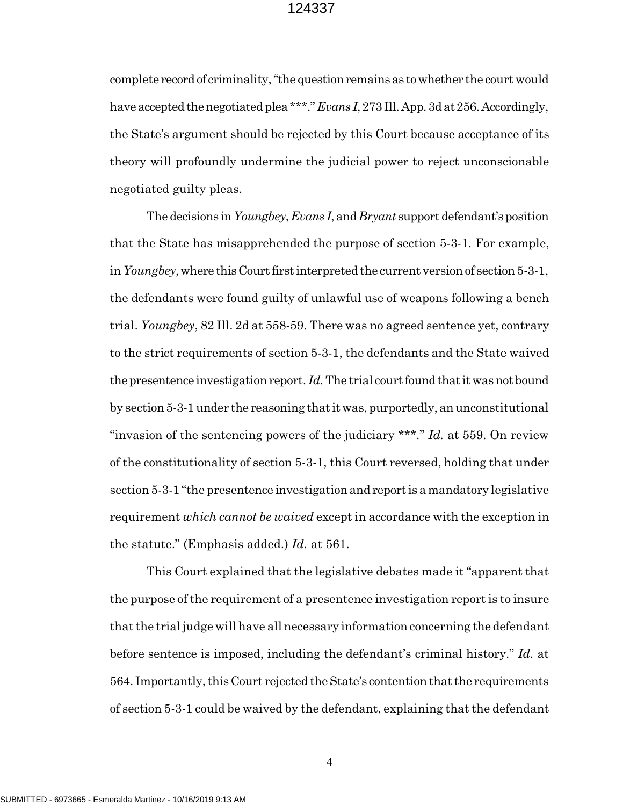complete record of criminality, "the question remains as to whether the court would have accepted the negotiated plea \*\*\*." *Evans I*, 273 Ill. App. 3d at 256. Accordingly, the State's argument should be rejected by this Court because acceptance of its theory will profoundly undermine the judicial power to reject unconscionable negotiated guilty pleas.

The decisions in *Youngbey*, *Evans I*, and *Bryant* support defendant's position that the State has misapprehended the purpose of section 5-3-1. For example, in *Youngbey*, where this Court first interpreted the current version of section 5-3-1, the defendants were found guilty of unlawful use of weapons following a bench trial. *Youngbey*, 82 Ill. 2d at 558-59. There was no agreed sentence yet, contrary to the strict requirements of section 5-3-1, the defendants and the State waived the presentence investigation report. *Id.* The trial court found that it was not bound by section 5-3-1 under the reasoning that it was, purportedly, an unconstitutional "invasion of the sentencing powers of the judiciary \*\*\*." *Id.* at 559. On review of the constitutionality of section 5-3-1, this Court reversed, holding that under section 5-3-1 "the presentence investigation and report is a mandatory legislative requirement *which cannot be waived* except in accordance with the exception in the statute." (Emphasis added.) *Id.* at 561.

This Court explained that the legislative debates made it "apparent that the purpose of the requirement of a presentence investigation report is to insure that the trial judge will have all necessary information concerning the defendant before sentence is imposed, including the defendant's criminal history." *Id.* at 564. Importantly, this Court rejected the State's contention that the requirements of section 5-3-1 could be waived by the defendant, explaining that the defendant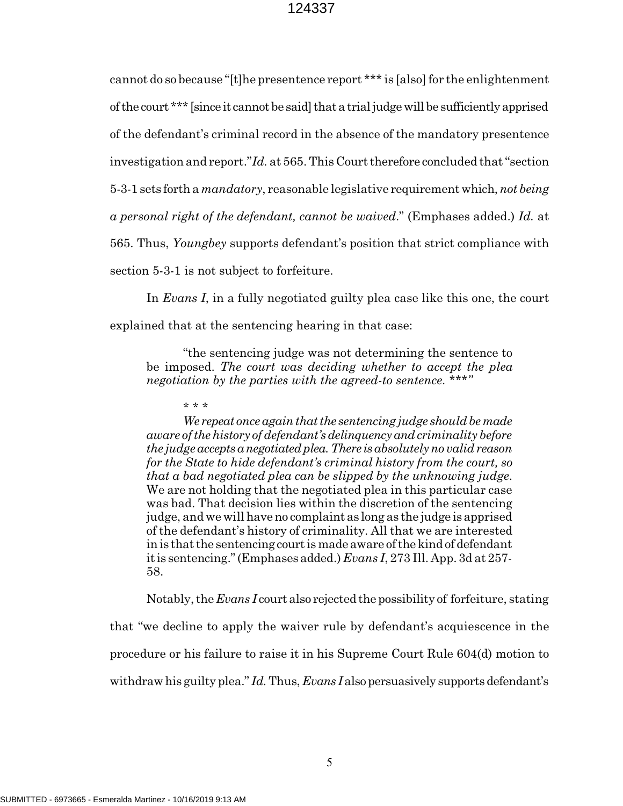cannot do so because "[t]he presentence report \*\*\* is [also] for the enlightenment of the court \*\*\* [since it cannot be said] that a trial judge will be sufficiently apprised of the defendant's criminal record in the absence of the mandatory presentence investigation and report."*Id.* at 565. This Court therefore concluded that "section 5-3-1 sets forth a *mandatory*, reasonable legislative requirement which, *not being a personal right of the defendant, cannot be waived*." (Emphases added.) *Id.* at 565. Thus, *Youngbey* supports defendant's position that strict compliance with section 5-3-1 is not subject to forfeiture.

In *Evans I*, in a fully negotiated guilty plea case like this one, the court explained that at the sentencing hearing in that case:

"the sentencing judge was not determining the sentence to be imposed. *The court was deciding whether to accept the plea negotiation by the parties with the agreed-to sentence. \*\*\*"*

#### \* \* \*

*We repeat once again that the sentencing judge should be made aware of the history of defendant's delinquency and criminality before the judge accepts a negotiated plea. There is absolutely no valid reason for the State to hide defendant's criminal history from the court, so that a bad negotiated plea can be slipped by the unknowing judge*. We are not holding that the negotiated plea in this particular case was bad. That decision lies within the discretion of the sentencing judge, and we will have no complaint as long as the judge is apprised of the defendant's history of criminality. All that we are interested in is that the sentencing court is made aware of the kind of defendant it is sentencing." (Emphases added.) *Evans I*, 273 Ill. App. 3d at 257- 58.

Notably, the *Evans I* court also rejected the possibility of forfeiture, stating

that "we decline to apply the waiver rule by defendant's acquiescence in the procedure or his failure to raise it in his Supreme Court Rule 604(d) motion to withdraw his guilty plea." *Id.* Thus, *Evans I* also persuasively supports defendant's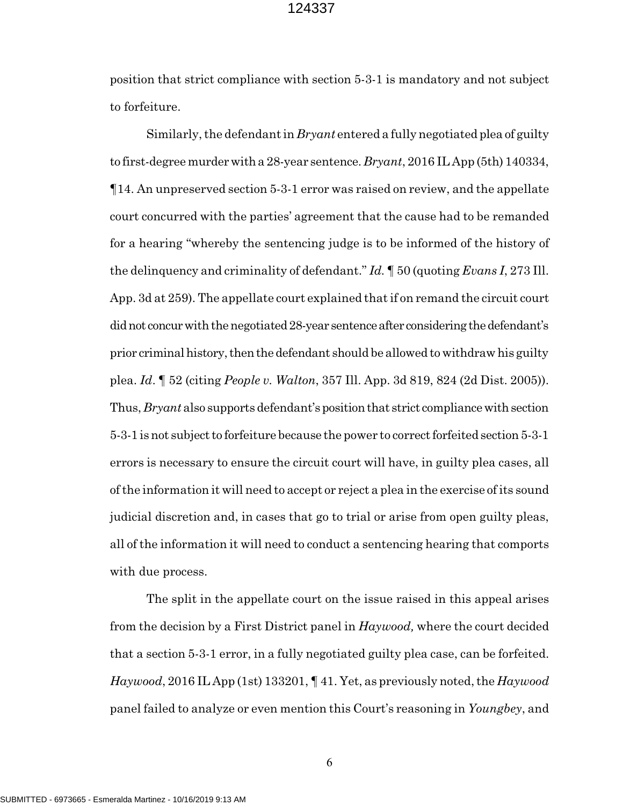position that strict compliance with section 5-3-1 is mandatory and not subject to forfeiture.

Similarly, the defendant in *Bryant* entered a fully negotiated plea of guilty to first-degree murder with a 28-year sentence. *Bryant*, 2016 IL App (5th) 140334, ¶14. An unpreserved section 5-3-1 error was raised on review, and the appellate court concurred with the parties' agreement that the cause had to be remanded for a hearing "whereby the sentencing judge is to be informed of the history of the delinquency and criminality of defendant." *Id.* ¶ 50 (quoting *Evans I*, 273 Ill. App. 3d at 259). The appellate court explained that if on remand the circuit court did not concur with the negotiated 28-year sentence after considering the defendant's prior criminal history, then the defendant should be allowed to withdraw his guilty plea. *Id*. ¶ 52 (citing *People v. Walton*, 357 Ill. App. 3d 819, 824 (2d Dist. 2005)). Thus, *Bryant* also supports defendant's position that strict compliance with section 5-3-1 is not subject to forfeiture because the power to correct forfeited section 5-3-1 errors is necessary to ensure the circuit court will have, in guilty plea cases, all of the information it will need to accept or reject a plea in the exercise of its sound judicial discretion and, in cases that go to trial or arise from open guilty pleas, all of the information it will need to conduct a sentencing hearing that comports with due process.

The split in the appellate court on the issue raised in this appeal arises from the decision by a First District panel in *Haywood,* where the court decided that a section 5-3-1 error, in a fully negotiated guilty plea case, can be forfeited. *Haywood*, 2016 IL App (1st) 133201, ¶ 41. Yet, as previously noted, the *Haywood* panel failed to analyze or even mention this Court's reasoning in *Youngbey*, and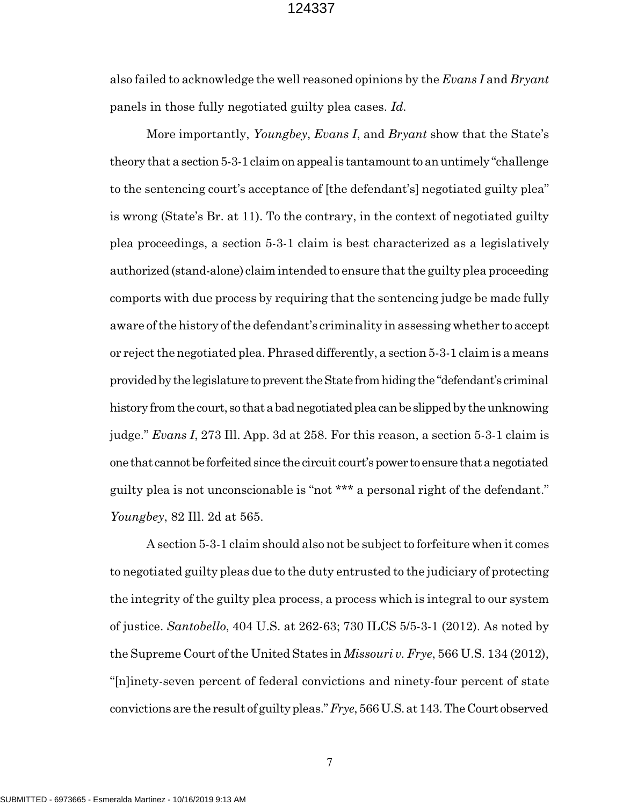also failed to acknowledge the well reasoned opinions by the *Evans I* and *Bryant* panels in those fully negotiated guilty plea cases. *Id.*

More importantly, *Youngbey*, *Evans I*, and *Bryant* show that the State's theory that a section 5-3-1 claim on appeal is tantamount to an untimely "challenge to the sentencing court's acceptance of [the defendant's] negotiated guilty plea" is wrong (State's Br. at 11). To the contrary, in the context of negotiated guilty plea proceedings, a section 5-3-1 claim is best characterized as a legislatively authorized (stand-alone) claim intended to ensure that the guilty plea proceeding comports with due process by requiring that the sentencing judge be made fully aware of the history of the defendant's criminality in assessing whether to accept or reject the negotiated plea. Phrased differently, a section 5-3-1 claim is a means provided by the legislature to prevent the State from hiding the "defendant's criminal history from the court, so that a bad negotiated plea can be slipped by the unknowing judge." *Evans I*, 273 Ill. App. 3d at 258. For this reason, a section 5-3-1 claim is one that cannot be forfeited since the circuit court's power to ensure that a negotiated guilty plea is not unconscionable is "not \*\*\* a personal right of the defendant." *Youngbey*, 82 Ill. 2d at 565.

A section 5-3-1 claim should also not be subject to forfeiture when it comes to negotiated guilty pleas due to the duty entrusted to the judiciary of protecting the integrity of the guilty plea process, a process which is integral to our system of justice. *Santobello*, 404 U.S. at 262-63; 730 ILCS 5/5-3-1 (2012). As noted by the Supreme Court of the United States in *Missouri v. Frye*, 566 U.S. 134 (2012), "[n]inety-seven percent of federal convictions and ninety-four percent of state convictions are the result of guilty pleas." *Frye*, 566 U.S. at 143. The Court observed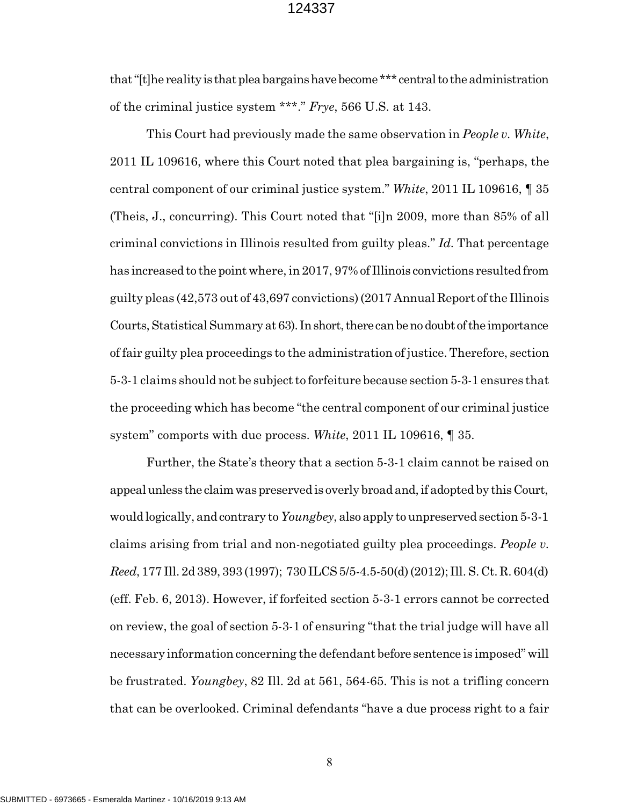that "[t]he reality is that plea bargains have become \*\*\* central to the administration of the criminal justice system \*\*\*." *Frye*, 566 U.S. at 143.

This Court had previously made the same observation in *People v. White*, 2011 IL 109616, where this Court noted that plea bargaining is, "perhaps, the central component of our criminal justice system." *White*, 2011 IL 109616, ¶ 35 (Theis, J., concurring). This Court noted that "[i]n 2009, more than 85% of all criminal convictions in Illinois resulted from guilty pleas." *Id.* That percentage has increased to the point where, in 2017, 97% of Illinois convictions resulted from guilty pleas (42,573 out of 43,697 convictions) (2017 Annual Report of the Illinois Courts, Statistical Summary at 63). In short, there can be no doubt of the importance of fair guilty plea proceedings to the administration of justice. Therefore, section 5-3-1 claims should not be subject to forfeiture because section 5-3-1 ensures that the proceeding which has become "the central component of our criminal justice system" comports with due process. *White*, 2011 IL 109616, ¶ 35.

Further, the State's theory that a section 5-3-1 claim cannot be raised on appeal unless the claim was preserved is overly broad and, if adopted by this Court, would logically, and contrary to *Youngbey*, also apply to unpreserved section 5-3-1 claims arising from trial and non-negotiated guilty plea proceedings. *People v. Reed*, 177 Ill. 2d 389, 393 (1997); 730 ILCS 5/5-4.5-50(d) (2012); Ill. S. Ct. R. 604(d) (eff. Feb. 6, 2013). However, if forfeited section 5-3-1 errors cannot be corrected on review, the goal of section 5-3-1 of ensuring "that the trial judge will have all necessary information concerning the defendant before sentence is imposed" will be frustrated. *Youngbey*, 82 Ill. 2d at 561, 564-65. This is not a trifling concern that can be overlooked. Criminal defendants "have a due process right to a fair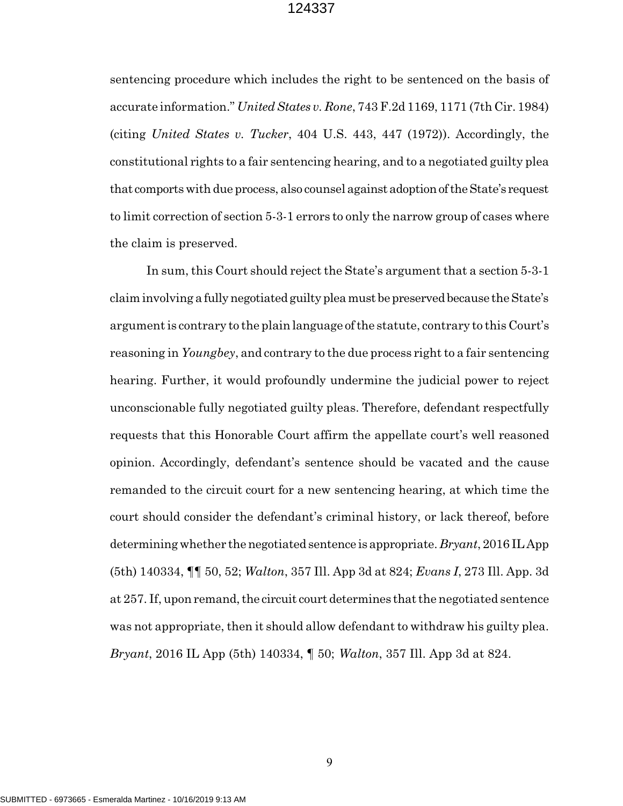sentencing procedure which includes the right to be sentenced on the basis of accurate information." *United States v. Rone*, 743 F.2d 1169, 1171 (7th Cir. 1984) (citing *United States v. Tucker*, 404 U.S. 443, 447 (1972)). Accordingly, the constitutional rights to a fair sentencing hearing, and to a negotiated guilty plea that comports with due process, also counsel against adoption of the State's request to limit correction of section 5-3-1 errors to only the narrow group of cases where the claim is preserved.

In sum, this Court should reject the State's argument that a section 5-3-1 claim involving a fully negotiated guilty plea must be preserved because the State's argument is contrary to the plain language of the statute, contrary to this Court's reasoning in *Youngbey*, and contrary to the due process right to a fair sentencing hearing. Further, it would profoundly undermine the judicial power to reject unconscionable fully negotiated guilty pleas. Therefore, defendant respectfully requests that this Honorable Court affirm the appellate court's well reasoned opinion. Accordingly, defendant's sentence should be vacated and the cause remanded to the circuit court for a new sentencing hearing, at which time the court should consider the defendant's criminal history, or lack thereof, before determining whether the negotiated sentence is appropriate. *Bryant*, 2016 IL App (5th) 140334, ¶¶ 50, 52; *Walton*, 357 Ill. App 3d at 824; *Evans I*, 273 Ill. App. 3d at 257. If, upon remand, the circuit court determines that the negotiated sentence was not appropriate, then it should allow defendant to withdraw his guilty plea. *Bryant*, 2016 IL App (5th) 140334, ¶ 50; *Walton*, 357 Ill. App 3d at 824.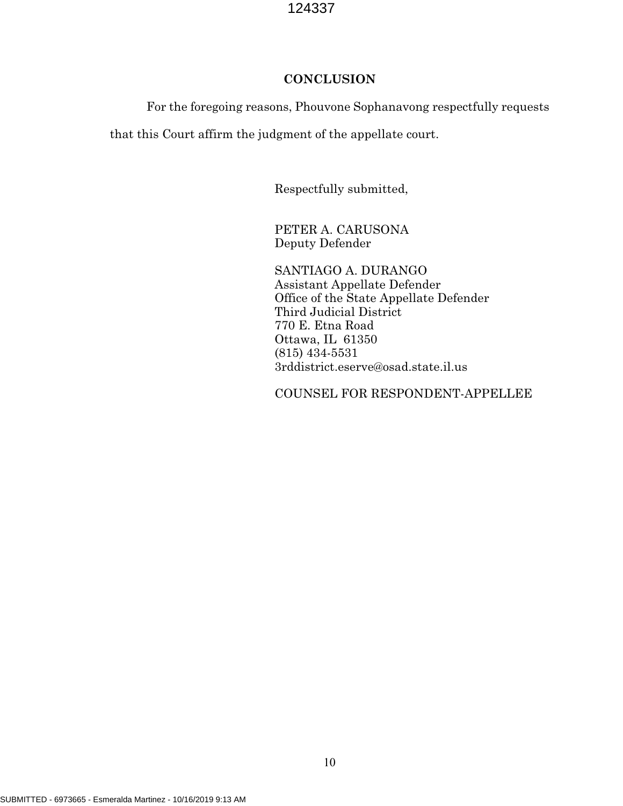# **CONCLUSION**

For the foregoing reasons, Phouvone Sophanavong respectfully requests

that this Court affirm the judgment of the appellate court.

Respectfully submitted,

PETER A. CARUSONA Deputy Defender

SANTIAGO A. DURANGO Assistant Appellate Defender Office of the State Appellate Defender Third Judicial District 770 E. Etna Road Ottawa, IL 61350 (815) 434-5531 3rddistrict.eserve@osad.state.il.us

COUNSEL FOR RESPONDENT-APPELLEE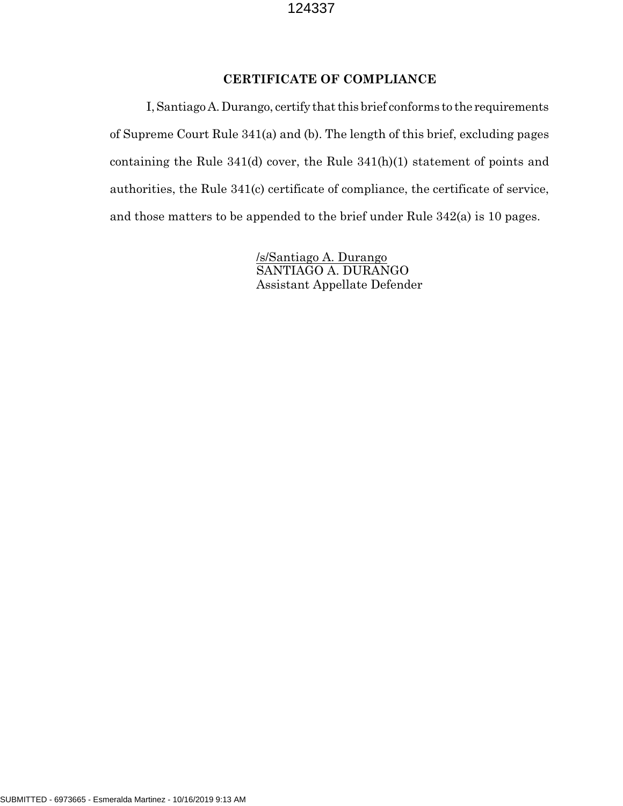# **CERTIFICATE OF COMPLIANCE**

I, Santiago A. Durango, certify that this brief conforms to the requirements of Supreme Court Rule 341(a) and (b). The length of this brief, excluding pages containing the Rule 341(d) cover, the Rule 341(h)(1) statement of points and authorities, the Rule 341(c) certificate of compliance, the certificate of service, and those matters to be appended to the brief under Rule 342(a) is 10 pages.

> /s/Santiago A. Durango SANTIAGO A. DURANGO Assistant Appellate Defender